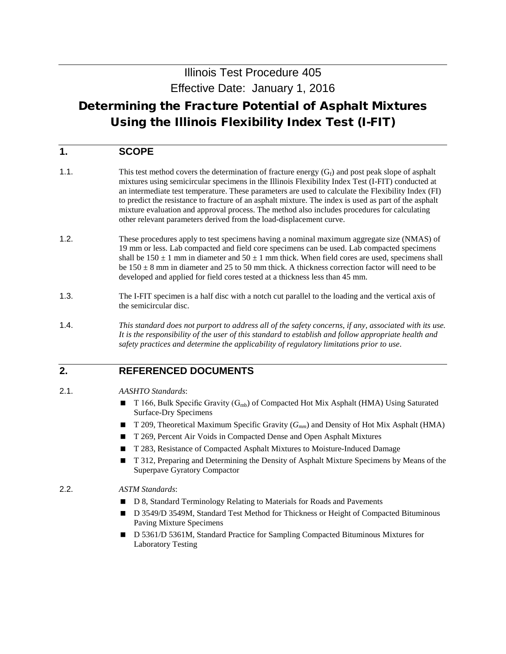# Illinois Test Procedure 405 Effective Date: January 1, 2016

# Determining the Fracture Potential of Asphalt Mixtures Using the Illinois Flexibility Index Test (I-FIT)

## **1. SCOPE**

- 1.1. This test method covers the determination of fracture energy  $(G_f)$  and post peak slope of asphalt mixtures using semicircular specimens in the Illinois Flexibility Index Test (I-FIT) conducted at an intermediate test temperature. These parameters are used to calculate the Flexibility Index (FI) to predict the resistance to fracture of an asphalt mixture. The index is used as part of the asphalt mixture evaluation and approval process. The method also includes procedures for calculating other relevant parameters derived from the load-displacement curve.
- 1.2. These procedures apply to test specimens having a nominal maximum aggregate size (NMAS) of 19 mm or less. Lab compacted and field core specimens can be used. Lab compacted specimens shall be  $150 \pm 1$  mm in diameter and  $50 \pm 1$  mm thick. When field cores are used, specimens shall be  $150 \pm 8$  mm in diameter and 25 to 50 mm thick. A thickness correction factor will need to be developed and applied for field cores tested at a thickness less than 45 mm.
- 1.3. The I-FIT specimen is a half disc with a notch cut parallel to the loading and the vertical axis of the semicircular disc.
- 1.4. *This standard does not purport to address all of the safety concerns, if any, associated with its use. It is the responsibility of the user of this standard to establish and follow appropriate health and safety practices and determine the applicability of regulatory limitations prior to use*.

## **2. REFERENCED DOCUMENTS**

#### 2.1. *AASHTO Standards*:

- **T** 166, Bulk Specific Gravity ( $G<sub>mb</sub>$ ) of Compacted Hot Mix Asphalt (HMA) Using Saturated Surface-Dry Specimens
- T 209, Theoretical Maximum Specific Gravity ( $G_{mm}$ ) and Density of Hot Mix Asphalt (HMA)
- T 269, Percent Air Voids in Compacted Dense and Open Asphalt Mixtures
- T 283, Resistance of Compacted Asphalt Mixtures to Moisture-Induced Damage
- **T** 312, Preparing and Determining the Density of Asphalt Mixture Specimens by Means of the Superpave Gyratory Compactor

#### 2.2. *ASTM Standards*:

- D 8, Standard Terminology Relating to Materials for Roads and Pavements
- D 3549/D 3549M, Standard Test Method for Thickness or Height of Compacted Bituminous Paving Mixture Specimens
- D 5361/D 5361M, Standard Practice for Sampling Compacted Bituminous Mixtures for Laboratory Testing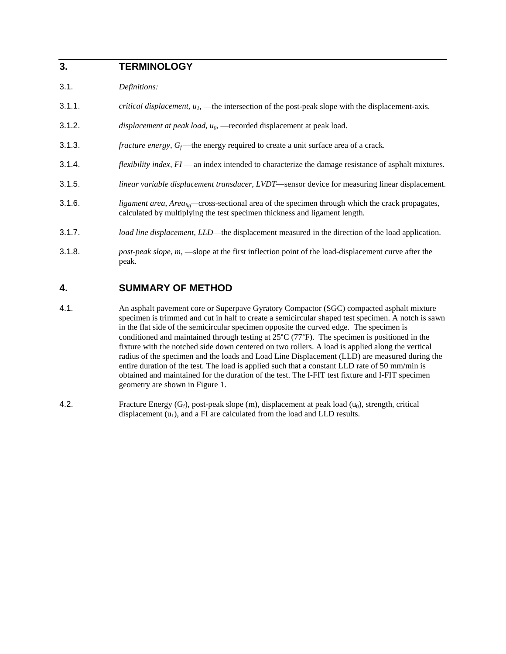## **3. TERMINOLOGY**

- 3.1. *Definitions:*
- 3.1.1. *critical displacement,*  $u_1$ *,* —the intersection of the post-peak slope with the displacement-axis.
- 3.1.2. *displacement at peak load,*  $u_0$  —recorded displacement at peak load.
- 3.1.3. *fracture energy,*  $G_f$ —the energy required to create a unit surface area of a crack.
- 3.1.4. *flexibility index*, *FI —* an index intended to characterize the damage resistance of asphalt mixtures.
- 3.1.5. *linear variable displacement transducer, LVDT*—sensor device for measuring linear displacement.
- 3.1.6. *ligament area, Arealig—*cross-sectional area of the specimen through which the crack propagates, calculated by multiplying the test specimen thickness and ligament length.
- 3.1.7. *load line displacement, LLD*—the displacement measured in the direction of the load application.
- 3.1.8. *post-peak slope, m,* —slope at the first inflection point of the load-displacement curve after the peak.

### **4. SUMMARY OF METHOD**

- 4.1. An asphalt pavement core or Superpave Gyratory Compactor (SGC) compacted asphalt mixture specimen is trimmed and cut in half to create a semicircular shaped test specimen. A notch is sawn in the flat side of the semicircular specimen opposite the curved edge. The specimen is conditioned and maintained through testing at 25°C (77°F). The specimen is positioned in the fixture with the notched side down centered on two rollers. A load is applied along the vertical radius of the specimen and the loads and Load Line Displacement (LLD) are measured during the entire duration of the test. The load is applied such that a constant LLD rate of 50 mm/min is obtained and maintained for the duration of the test. The I-FIT test fixture and I-FIT specimen geometry are shown in Figure 1.
- 4.2. Fracture Energy  $(G_f)$ , post-peak slope (m), displacement at peak load  $(u_0)$ , strength, critical displacement  $(u_1)$ , and a FI are calculated from the load and LLD results.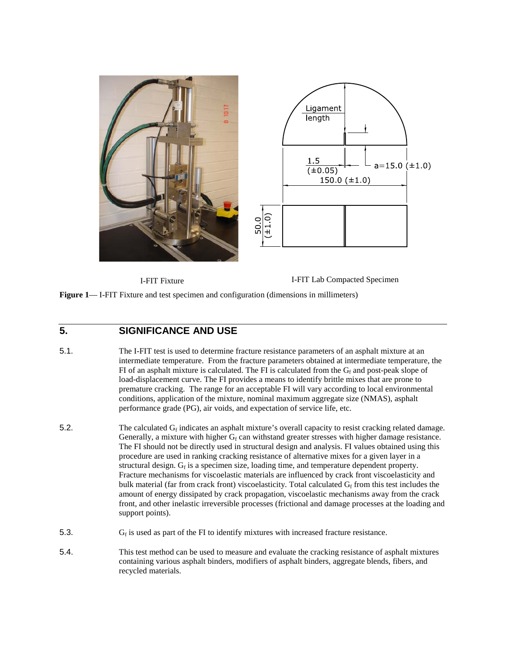



I-FIT Fixture I-FIT Lab Compacted Specimen

**Figure 1**— I-FIT Fixture and test specimen and configuration (dimensions in millimeters)

## **5. SIGNIFICANCE AND USE**

- 5.1. The I-FIT test is used to determine fracture resistance parameters of an asphalt mixture at an intermediate temperature. From the fracture parameters obtained at intermediate temperature, the FI of an asphalt mixture is calculated. The FI is calculated from the  $G_f$  and post-peak slope of load-displacement curve. The FI provides a means to identify brittle mixes that are prone to premature cracking. The range for an acceptable FI will vary according to local environmental conditions, application of the mixture, nominal maximum aggregate size (NMAS), asphalt performance grade (PG), air voids, and expectation of service life, etc.
- 5.2. The calculated  $G_f$  indicates an asphalt mixture's overall capacity to resist cracking related damage. Generally, a mixture with higher  $G_f$  can withstand greater stresses with higher damage resistance. The FI should not be directly used in structural design and analysis. FI values obtained using this procedure are used in ranking cracking resistance of alternative mixes for a given layer in a structural design.  $G_f$  is a specimen size, loading time, and temperature dependent property. Fracture mechanisms for viscoelastic materials are influenced by crack front viscoelasticity and bulk material (far from crack front) viscoelasticity. Total calculated  $G<sub>f</sub>$  from this test includes the amount of energy dissipated by crack propagation, viscoelastic mechanisms away from the crack front, and other inelastic irreversible processes (frictional and damage processes at the loading and support points).
- 5.3.  $G_f$  is used as part of the FI to identify mixtures with increased fracture resistance.
- 5.4. This test method can be used to measure and evaluate the cracking resistance of asphalt mixtures containing various asphalt binders, modifiers of asphalt binders, aggregate blends, fibers, and recycled materials.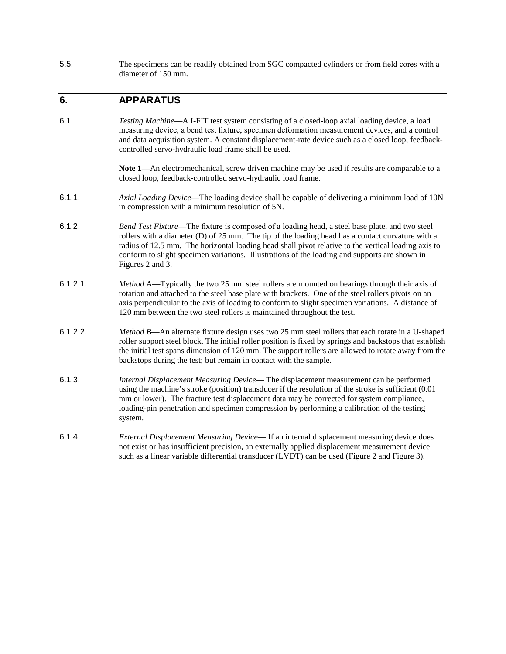5.5. The specimens can be readily obtained from SGC compacted cylinders or from field cores with a diameter of 150 mm.

### **6. APPARATUS**

6.1. *Testing Machine*—A I-FIT test system consisting of a closed-loop axial loading device, a load measuring device, a bend test fixture, specimen deformation measurement devices, and a control and data acquisition system. A constant displacement-rate device such as a closed loop, feedbackcontrolled servo-hydraulic load frame shall be used.

> Note 1—An electromechanical, screw driven machine may be used if results are comparable to a closed loop, feedback-controlled servo-hydraulic load frame.

- 6.1.1. *Axial Loading Device*—The loading device shall be capable of delivering a minimum load of 10N in compression with a minimum resolution of 5N.
- 6.1.2. *Bend Test Fixture*—The fixture is composed of a loading head, a steel base plate, and two steel rollers with a diameter (D) of 25 mm. The tip of the loading head has a contact curvature with a radius of 12.5 mm. The horizontal loading head shall pivot relative to the vertical loading axis to conform to slight specimen variations. Illustrations of the loading and supports are shown in Figures 2 and 3.
- 6.1.2.1. *Method* A—Typically the two 25 mm steel rollers are mounted on bearings through their axis of rotation and attached to the steel base plate with brackets. One of the steel rollers pivots on an axis perpendicular to the axis of loading to conform to slight specimen variations. A distance of 120 mm between the two steel rollers is maintained throughout the test.
- 6.1.2.2. *Method B*—An alternate fixture design uses two 25 mm steel rollers that each rotate in a U-shaped roller support steel block. The initial roller position is fixed by springs and backstops that establish the initial test spans dimension of 120 mm. The support rollers are allowed to rotate away from the backstops during the test; but remain in contact with the sample.
- 6.1.3. *Internal Displacement Measuring Device* The displacement measurement can be performed using the machine's stroke (position) transducer if the resolution of the stroke is sufficient (0.01 mm or lower). The fracture test displacement data may be corrected for system compliance, loading-pin penetration and specimen compression by performing a calibration of the testing system.
- 6.1.4. *External Displacement Measuring Device* If an internal displacement measuring device does not exist or has insufficient precision, an externally applied displacement measurement device such as a linear variable differential transducer (LVDT) can be used (Figure 2 and Figure 3).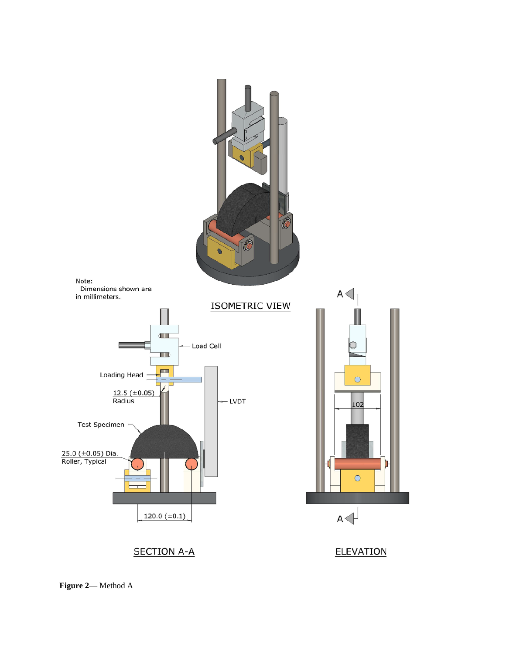

**Figure 2**— Method A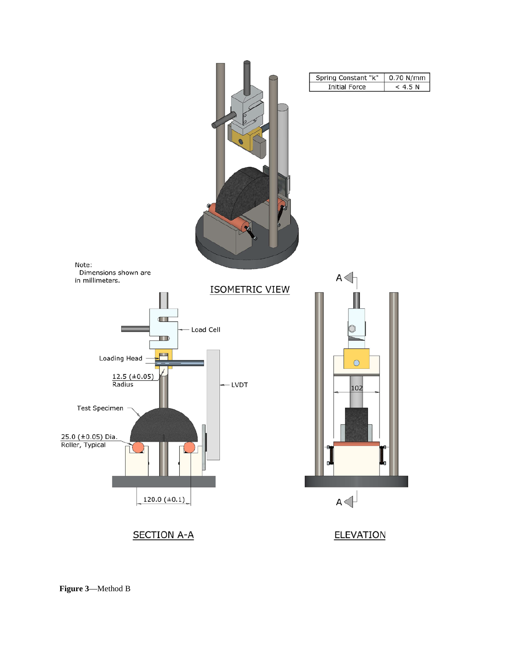

**Figure 3**—Method B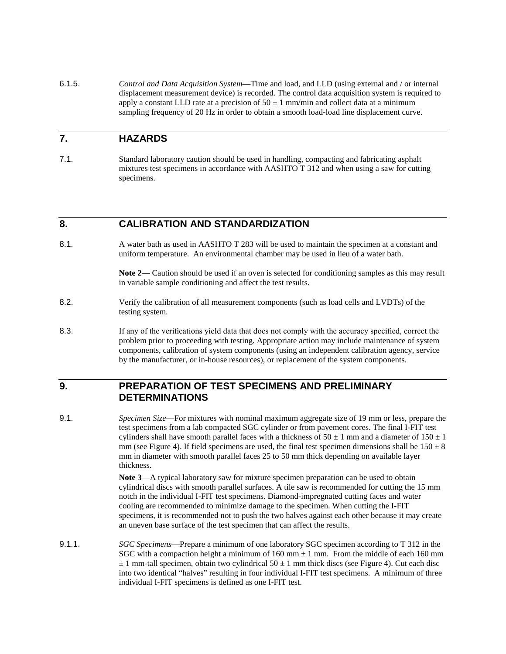6.1.5. *Control and Data Acquisition System*—Time and load, and LLD (using external and / or internal displacement measurement device) is recorded. The control data acquisition system is required to apply a constant LLD rate at a precision of  $50 \pm 1$  mm/min and collect data at a minimum sampling frequency of 20 Hz in order to obtain a smooth load-load line displacement curve.

## **7. HAZARDS**

7.1. Standard laboratory caution should be used in handling, compacting and fabricating asphalt mixtures test specimens in accordance with AASHTO T 312 and when using a saw for cutting specimens.

#### **8. CALIBRATION AND STANDARDIZATION**

8.1. A water bath as used in AASHTO T 283 will be used to maintain the specimen at a constant and uniform temperature. An environmental chamber may be used in lieu of a water bath.

> **Note 2**— Caution should be used if an oven is selected for conditioning samples as this may result in variable sample conditioning and affect the test results.

- 8.2. Verify the calibration of all measurement components (such as load cells and LVDTs) of the testing system.
- 8.3. If any of the verifications yield data that does not comply with the accuracy specified, correct the problem prior to proceeding with testing. Appropriate action may include maintenance of system components, calibration of system components (using an independent calibration agency, service by the manufacturer, or in-house resources), or replacement of the system components.

## **9. PREPARATION OF TEST SPECIMENS AND PRELIMINARY DETERMINATIONS**

9.1. *Specimen Size*—For mixtures with nominal maximum aggregate size of 19 mm or less, prepare the test specimens from a lab compacted SGC cylinder or from pavement cores. The final I-FIT test cylinders shall have smooth parallel faces with a thickness of  $50 \pm 1$  mm and a diameter of  $150 \pm 1$ mm (see Figure 4). If field specimens are used, the final test specimen dimensions shall be  $150 \pm 8$ mm in diameter with smooth parallel faces 25 to 50 mm thick depending on available layer thickness.

> **Note 3**—A typical laboratory saw for mixture specimen preparation can be used to obtain cylindrical discs with smooth parallel surfaces. A tile saw is recommended for cutting the 15 mm notch in the individual I-FIT test specimens. Diamond-impregnated cutting faces and water cooling are recommended to minimize damage to the specimen. When cutting the I-FIT specimens, it is recommended not to push the two halves against each other because it may create an uneven base surface of the test specimen that can affect the results.

9.1.1. *SGC Specimens*—Prepare a minimum of one laboratory SGC specimen according to T 312 in the SGC with a compaction height a minimum of  $160 \text{ mm} \pm 1 \text{ mm}$ . From the middle of each  $160 \text{ mm}$  $\pm$  1 mm-tall specimen, obtain two cylindrical 50  $\pm$  1 mm thick discs (see Figure 4). Cut each disc into two identical "halves" resulting in four individual I-FIT test specimens. A minimum of three individual I-FIT specimens is defined as one I-FIT test.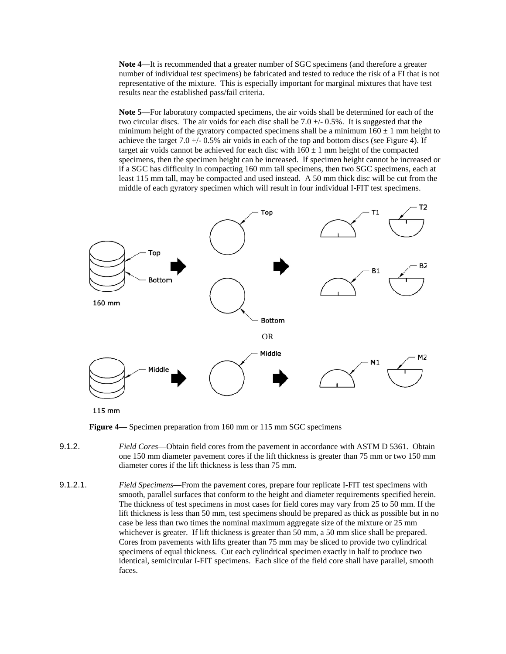**Note 4**—It is recommended that a greater number of SGC specimens (and therefore a greater number of individual test specimens) be fabricated and tested to reduce the risk of a FI that is not representative of the mixture. This is especially important for marginal mixtures that have test results near the established pass/fail criteria.

**Note 5**—For laboratory compacted specimens, the air voids shall be determined for each of the two circular discs. The air voids for each disc shall be 7.0 +/- 0.5%. It is suggested that the minimum height of the gyratory compacted specimens shall be a minimum  $160 \pm 1$  mm height to achieve the target  $7.0 +/- 0.5\%$  air voids in each of the top and bottom discs (see Figure 4). If target air voids cannot be achieved for each disc with  $160 \pm 1$  mm height of the compacted specimens, then the specimen height can be increased. If specimen height cannot be increased or if a SGC has difficulty in compacting 160 mm tall specimens, then two SGC specimens, each at least 115 mm tall, may be compacted and used instead. A 50 mm thick disc will be cut from the middle of each gyratory specimen which will result in four individual I-FIT test specimens.



115 mm

**Figure 4**— Specimen preparation from 160 mm or 115 mm SGC specimens

- 9.1.2. *Field Cores*—Obtain field cores from the pavement in accordance with ASTM D 5361. Obtain one 150 mm diameter pavement cores if the lift thickness is greater than 75 mm or two 150 mm diameter cores if the lift thickness is less than 75 mm.
- 9.1.2.1. *Field Specimens*—From the pavement cores, prepare four replicate I-FIT test specimens with smooth, parallel surfaces that conform to the height and diameter requirements specified herein. The thickness of test specimens in most cases for field cores may vary from 25 to 50 mm. If the lift thickness is less than 50 mm, test specimens should be prepared as thick as possible but in no case be less than two times the nominal maximum aggregate size of the mixture or 25 mm whichever is greater. If lift thickness is greater than 50 mm, a 50 mm slice shall be prepared. Cores from pavements with lifts greater than 75 mm may be sliced to provide two cylindrical specimens of equal thickness. Cut each cylindrical specimen exactly in half to produce two identical, semicircular I-FIT specimens. Each slice of the field core shall have parallel, smooth faces.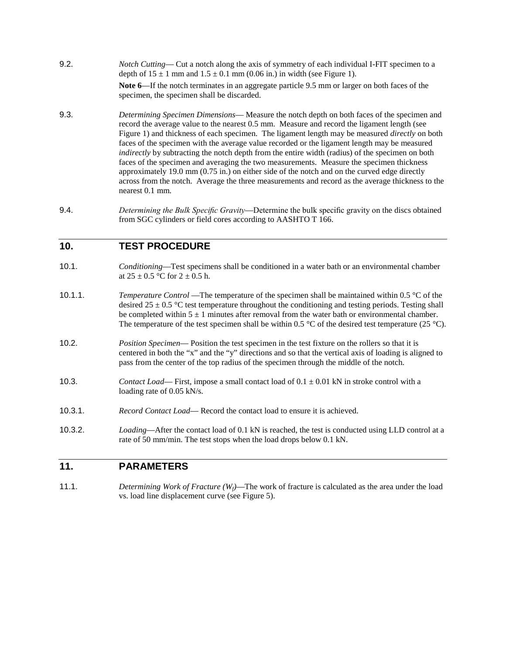9.2. *Notch Cutting*— Cut a notch along the axis of symmetry of each individual I-FIT specimen to a depth of  $15 \pm 1$  mm and  $1.5 \pm 0.1$  mm (0.06 in.) in width (see Figure 1).

**Note 6**—If the notch terminates in an aggregate particle 9.5 mm or larger on both faces of the specimen, the specimen shall be discarded.

- 9.3. *Determining Specimen Dimensions* Measure the notch depth on both faces of the specimen and record the average value to the nearest 0.5 mm. Measure and record the ligament length (see Figure 1) and thickness of each specimen. The ligament length may be measured *directly* on both faces of the specimen with the average value recorded or the ligament length may be measured *indirectly* by subtracting the notch depth from the entire width (radius) of the specimen on both faces of the specimen and averaging the two measurements. Measure the specimen thickness approximately 19.0 mm (0.75 in.) on either side of the notch and on the curved edge directly across from the notch. Average the three measurements and record as the average thickness to the nearest 0.1 mm.
- 9.4. *Determining the Bulk Specific Gravity*—Determine the bulk specific gravity on the discs obtained from SGC cylinders or field cores according to AASHTO T 166.

#### **10. TEST PROCEDURE**

- 10.1. *Conditioning*—Test specimens shall be conditioned in a water bath or an environmental chamber at  $25 \pm 0.5$  °C for  $2 \pm 0.5$  h.
- 10.1.1. *Temperature Control* —The temperature of the specimen shall be maintained within 0.5 °C of the desired  $25 \pm 0.5$  °C test temperature throughout the conditioning and testing periods. Testing shall be completed within  $5 \pm 1$  minutes after removal from the water bath or environmental chamber. The temperature of the test specimen shall be within 0.5  $\degree$ C of the desired test temperature (25  $\degree$ C).
- 10.2. *Position Specimen* Position the test specimen in the test fixture on the rollers so that it is centered in both the "x" and the "y" directions and so that the vertical axis of loading is aligned to pass from the center of the top radius of the specimen through the middle of the notch.
- 10.3. *Contact Load* First, impose a small contact load of  $0.1 \pm 0.01$  kN in stroke control with a loading rate of 0.05 kN/s.
- 10.3.1. *Record Contact Load* Record the contact load to ensure it is achieved.
- 10.3.2. *Loading*—After the contact load of 0.1 kN is reached, the test is conducted using LLD control at a rate of 50 mm/min. The test stops when the load drops below 0.1 kN.

#### **11. PARAMETERS**

11.1. *Determining Work of Fracture (W<sub>f</sub>)*—The work of fracture is calculated as the area under the load vs. load line displacement curve (see Figure 5).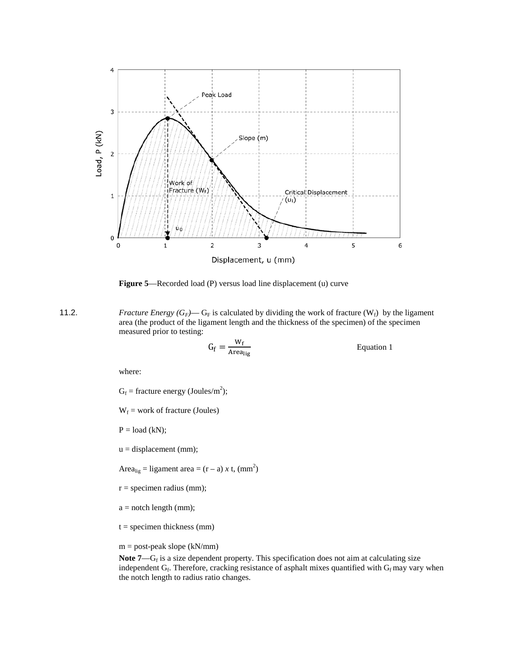

**Figure 5**—Recorded load (P) versus load line displacement (u) curve

11.2. *Fracture Energy*  $(G_F)$ — $G_F$  is calculated by dividing the work of fracture  $(W_f)$  by the ligament area (the product of the ligament length and the thickness of the specimen) of the specimen measured prior to testing:

$$
G_f = \frac{W_f}{Area_{lig}}
$$
 Equation 1

where:

 $G_f$  = fracture energy (Joules/m<sup>2</sup>);

 $W_f$  = work of fracture (Joules)

 $P = load (kN);$ 

u = displacement (mm);

Area<sub>lig</sub> = ligament area =  $(r - a) x t$ ,  $(mm<sup>2</sup>)$ 

- $r =$  specimen radius (mm);
- $a =$  notch length (mm);
- $t =$  specimen thickness (mm)
- $m = post-peak slope (kN/mm)$

Note 7—G<sub>f</sub> is a size dependent property. This specification does not aim at calculating size independent  $G_f$ . Therefore, cracking resistance of asphalt mixes quantified with  $G_f$  may vary when the notch length to radius ratio changes.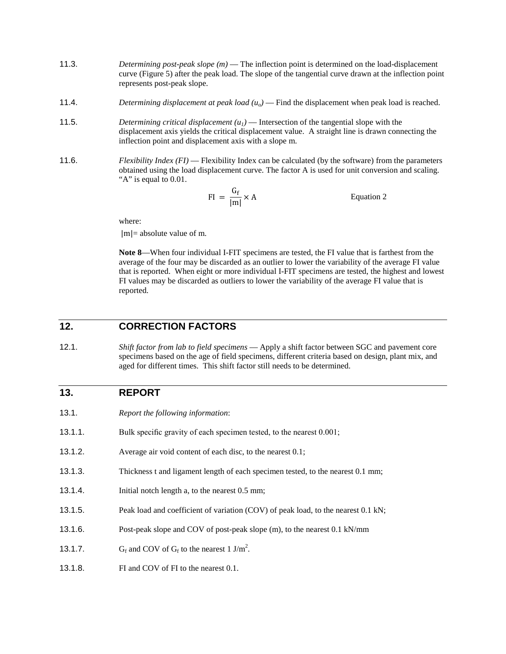- 11.3. *Determining post-peak slope (m)* The inflection point is determined on the load-displacement curve (Figure 5) after the peak load. The slope of the tangential curve drawn at the inflection point represents post-peak slope.
- 11.4. *Determining displacement at peak load*  $(u<sub>o</sub>)$  Find the displacement when peak load is reached.
- 11.5. *Determining critical displacement (u1)* Intersection of the tangential slope with the displacement axis yields the critical displacement value. A straight line is drawn connecting the inflection point and displacement axis with a slope m.
- 11.6. *Flexibility Index (FI)* Flexibility Index can be calculated (by the software) from the parameters obtained using the load displacement curve. The factor A is used for unit conversion and scaling. "A" is equal to 0.01.

$$
FI = \frac{G_f}{|m|} \times A
$$
 Equation 2

where:

 $|m|$  = absolute value of m.

**Note 8**—When four individual I-FIT specimens are tested, the FI value that is farthest from the average of the four may be discarded as an outlier to lower the variability of the average FI value that is reported. When eight or more individual I-FIT specimens are tested, the highest and lowest FI values may be discarded as outliers to lower the variability of the average FI value that is reported.

## **12. CORRECTION FACTORS**

12.1. *Shift factor from lab to field specimens* — Apply a shift factor between SGC and pavement core specimens based on the age of field specimens, different criteria based on design, plant mix, and aged for different times. This shift factor still needs to be determined.

## **13. REPORT**

- 13.1. *Report the following information*:
- 13.1.1. Bulk specific gravity of each specimen tested, to the nearest 0.001;
- 13.1.2. Average air void content of each disc, to the nearest 0.1;
- 13.1.3. Thickness t and ligament length of each specimen tested, to the nearest 0.1 mm;
- 13.1.4. Initial notch length a, to the nearest 0.5 mm;
- 13.1.5. Peak load and coefficient of variation (COV) of peak load, to the nearest 0.1 kN;
- 13.1.6. Post-peak slope and COV of post-peak slope (m), to the nearest 0.1 kN/mm
- 13.1.7.  $G_f$  and COV of  $G_f$  to the nearest 1 J/m<sup>2</sup>.
- 13.1.8. FI and COV of FI to the nearest 0.1.